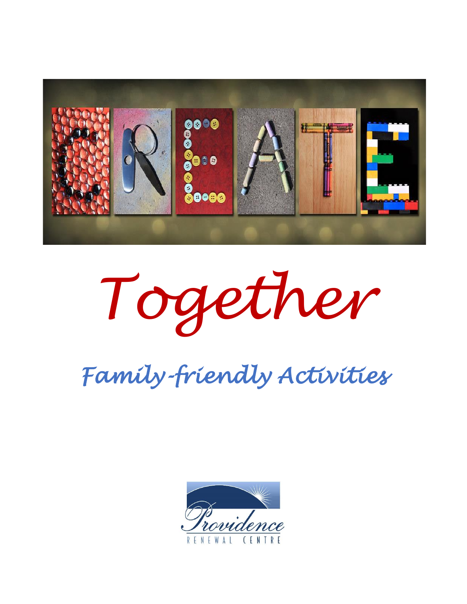

*Together*

*Family-friendly Activities* 

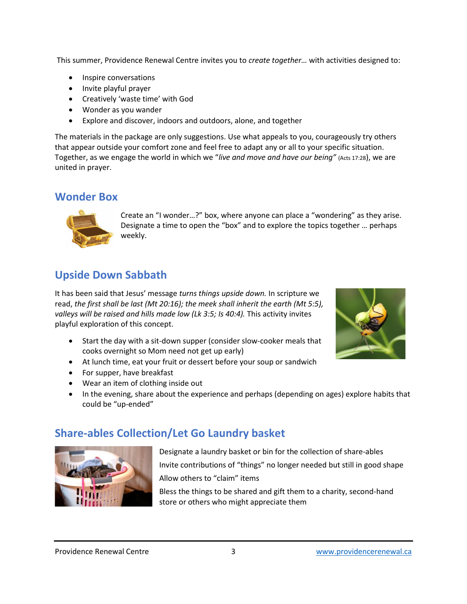This summer, Providence Renewal Centre invites you to *create together…* with activities designed to:

- Inspire conversations
- Invite playful prayer
- Creatively 'waste time' with God
- Wonder as you wander
- Explore and discover, indoors and outdoors, alone, and together

The materials in the package are only suggestions. Use what appeals to you, courageously try others that appear outside your comfort zone and feel free to adapt any or all to your specific situation. Together, as we engage the world in which we "*live and move and have our being"* (Acts 17:28), we are united in prayer.

#### **Wonder Box**



Create an "I wonder…?" box, where anyone can place a "wondering" as they arise. Designate a time to open the "box" and to explore the topics together … perhaps weekly.

# **Upside Down Sabbath**

It has bee[n said](https://creativecommons.org/licenses/by-nc/3.0/) that Jesus' message *turns things upside down.* In scripture we read, *[th](https://creativecommons.org/licenses/by-nc/3.0/)e first shall be last (Mt 20:16); the meek shall inherit the earth (Mt 5:5),*  valleys will be raised and hills made low (Lk 3:5; Is 40:4). This activity invites playful exploration of this concept.

- Start the day with a sit-down supper (consider slow-cooker meals that cooks overnight so Mom need not get up early)
- At lunch time, eat your fruit or dessert before your soup or sandwich
- For supper, have breakfast
- Wear an item of clothing inside out
- In the evening, share about the experience and perhaps (depending on ages) explore habits that could be "up-ended"

## **Share-ables Collection/Let Go Laundry basket**



Designate a laundry basket or bin for the collection of share-ables Invite contributions of "things" no longer needed but still in good shape Allow others to "claim" items Bless the things to be shared and gift them to a charity, second-hand

store or others who might appreciate them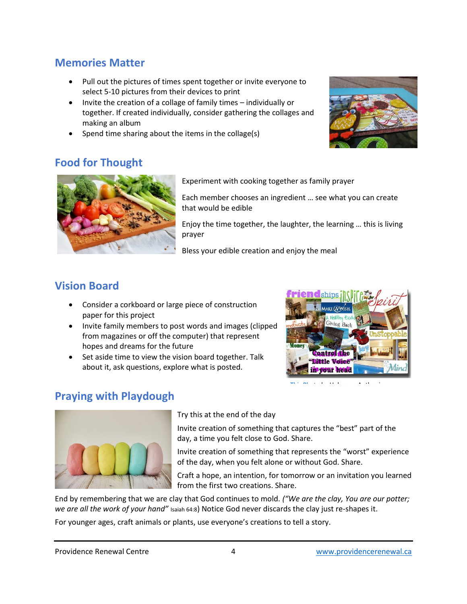## **Memories Matter**

- Pull out the pictures of times spent together or invite everyone to select 5-10 pictures from their devices to print
- Invite the creation of a collage of family times individually or together. If created individually, consider gathering the collages and making an album
- Spend time sharing about the items in the collage(s)



## **Food for Thought**



Experiment with cooking together as family [prayer](https://creativecommons.org/licenses/by-nc-nd/3.0/)

Each member chooses an ingredient … see what you can create that would be edible

Enjoy the time together, the laughter, the learning … this is living prayer

Bless your edible creation and enjoy the meal

## **Vision Board**

- Consider a corkboard or large piece of construction paper for this project
- Invite family members to post words and images (clipped from magazines or off the computer) that represent hopes and dreams for the future
- Set aside time to view the vision board together. Talk about it, ask questions, explore what is posted.



[This Photo](http://bellenoirmag.blogspot.com.au/2012/01/happy-you-year.html) by Unknown Author is

#### **Praying with Playdough**



Try this at the end of the day

Invite creation of something that captures the "best" part of the day, a time you felt close to God. Share.

Invite creation of something that represents the "worst" experience of the day, when you felt alone or without God. Share.

Craft a hope, an intention, for tomorrow or an invitation you learned from the first two creations. Share.

End by remembering that we are clay that God continues to mold. *("We are the clay, You are our potter; we are all the work of your hand"* Isaiah 64:8) Notice God never discards the clay just re-shapes it.

For younger ages, craft animals or plants, use everyone's creations to tell a story.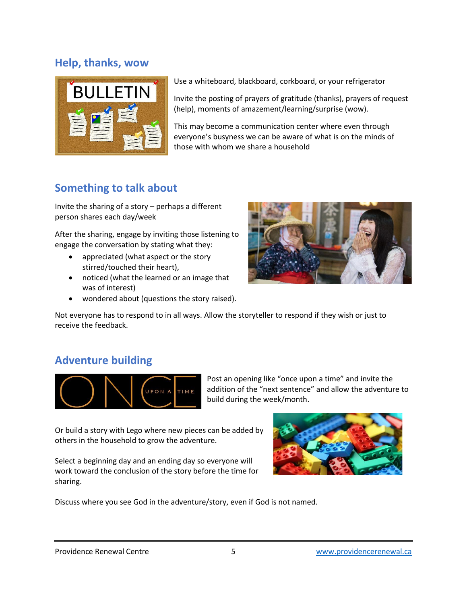#### **Help, thanks, wow**



Use a whiteboard, blackboard, corkboard, or your refrigerator

Invite the posting of prayers of gratitude (thanks), prayers of request (help), moments of amazement/learning/surprise (wow).

This may become a communication center where even through everyone's busyness we can be aware of what is on the minds of those with whom we share a household

## **Something to talk about**

Invite the sharing of a story – perhaps a different person shares each day/week

After the sharing, engage by inviting those listening to engage the conversation by stating what they:

- appreciated (what aspect or the story stirred/touched their heart),
- noticed (what the learned or an image that was of interest)
- wondered about (questions the story raised).



Not everyone has to respond to in all ways. Allow the storyteller to respond if they wish or just to receive the feedback.

#### **Adventure building**



Post an opening like "once upon a time" and invite the addition of the "next sentence" and allow the adventure to build during the week/month.

Or build a story with Lego where new pieces can be added by others in the household to grow the adventure.

Select a beginning day and an ending day so everyone will work toward the conclusion of the story before the time for sharing.



Discuss where you see God in the adventure/story, even if God is not named.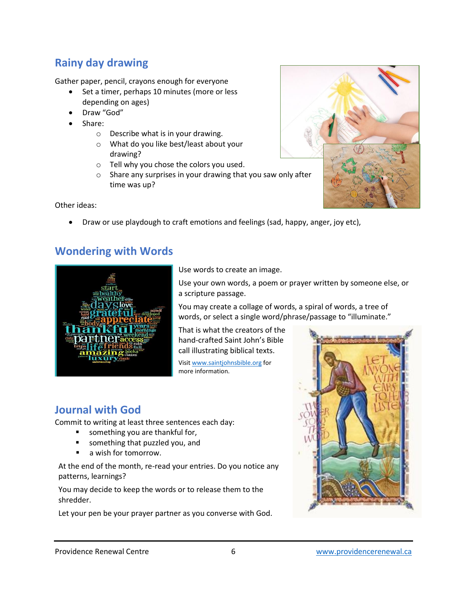# **Rainy day drawing**

Gather paper, pencil, crayons enough for everyone

- Set a timer, perhaps 10 minutes (more or less depending on ages)
- Draw "God"
- Share:
	- o Describe what is in your drawing.
	- o What do you like best/least about your drawing?
	- o Tell why you chose the colors you used.
	- o Share any surprises in your drawing that you saw only after time was up?

Other ideas:

• Draw or use playdough to craft emotions and feelings (sad, happy, anger, joy etc),

## **Wondering with Words**



Use words to create an image.

Use your own words, a poem or prayer written by someone else, or a scripture passage.

You may create a collage of words, a spiral of words, a tree of words, or select a single word/phrase/passage to "illuminate."

That is what the creators of the hand-crafted Saint John's Bible call illustrating biblical texts.

Visit [www.saintjohnsbible.org](http://www.saintjohnsbible.org/) for more information.

## **Journal with God**

Commit to writing at least three sentences each day:

- something you are thankful for,
- something that puzzled you, and
- a wish for tomorrow.

At the end of the month, re-read your entries. Do you notice any patterns, learnings?

You may decide to keep the words or to release them to the shredder.

Let your pen be your prayer partner as you converse with God.



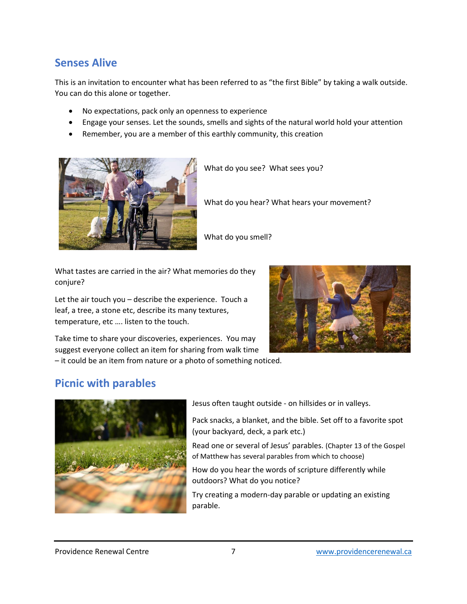#### **Senses Alive**

This is an invitation to encounter what has been referred to as "the first Bible" by taking a walk outside. You can do this alone or together.

- No expectations, pack only an openness to experience
- Engage your senses. Let the sounds, smells and sights of the natural world hold your attention
- Remember, you are a member of this earthly community, this creation



What do you see? What sees you?

What do you hear? What hears your movement?

What do you smell?

What tastes are carried in the air? What memories do they conjure?

Let the air touch you – describe the experience. Touch a leaf, a tree, a stone etc, describe its many textures, temperature, etc …. listen to the touch.



Take time to share your discoveries, experiences. You may suggest everyone collect an item for sharing from walk time

– it could be an item from nature or a photo of something noticed.

## **Picnic with parables**



Jesus often taught outside - on hillsides or in valleys.

Pack snacks, a blanket, and the bible. Set off to a favorite spot (your backyard, deck, a park etc.)

Read one or several of Jesus' parables. (Chapter 13 of the Gospel of Matthew has several parables from which to choose)

How do you hear the words of scripture differently while outdoors? What do you notice?

Try creating a modern-day parable or updating an existing parable.